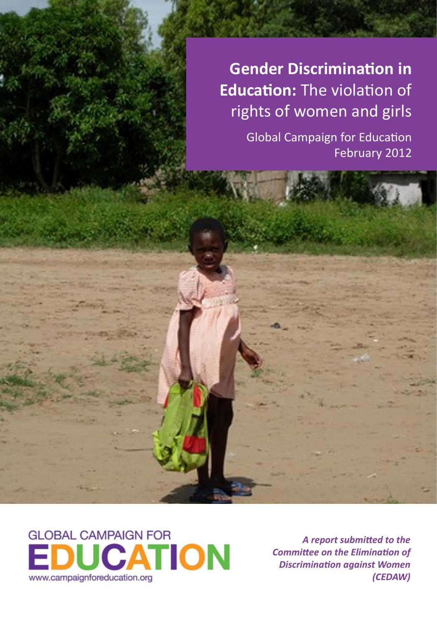**Gender Discrimination in Education:** The violation of rights of women and girls

> Global Campaign for Education February 2012



*A report submitted to the Committee on the Elimination of Discrimination against Women (CEDAW)*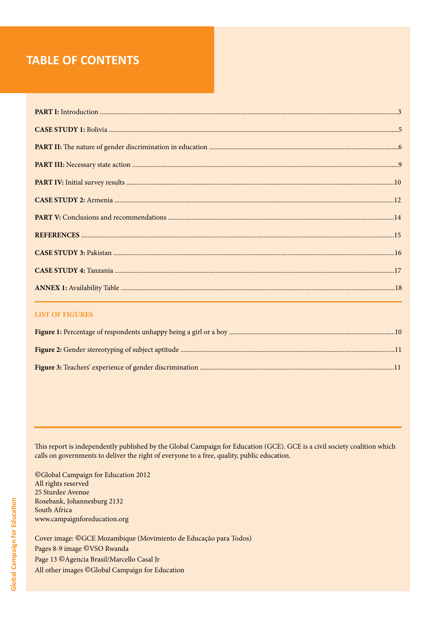### **TABLE OF CONTENTS**

#### **LIST OF FIGURES**

This report is independently published by the Global Campaign for Education (GCE). GCE is a civil society coalition which calls on governments to deliver the right of everyone to a free, quality, public education.

©Global Campaign for Education 2012 All rights reserved 25 Sturdee Avenue Rosebank, Johannesburg 2132 South Africa www.campaignforeducation.org

Cover image: ©GCE Mozambique (Movimiento de Educação para Todos) Pages 8-9 image ©VSO Rwanda Page 13 © Agencia Brasil/Marcello Casal Jr All other images ©Global Campaign for Education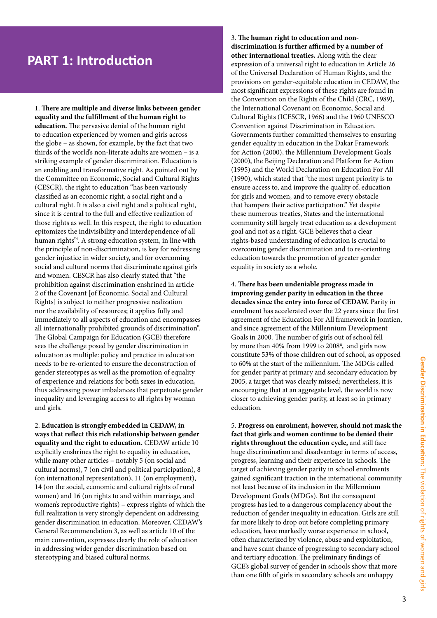### **PART 1: Introduction**

1. **There are multiple and diverse links between gender equality and the fulfillment of the human right to education.** The pervasive denial of the human right to education experienced by women and girls across the globe – as shown, for example, by the fact that two thirds of the world's non-literate adults are women – is a striking example of gender discrimination. Education is an enabling and transformative right. As pointed out by the Committee on Economic, Social and Cultural Rights (CESCR), the right to education "has been variously classified as an economic right, a social right and a cultural right. It is also a civil right and a political right, since it is central to the full and effective realization of those rights as well. In this respect, the right to education epitomizes the indivisibility and interdependence of all human rights"i . A strong education system, in line with the principle of non-discrimination, is key for redressing gender injustice in wider society, and for overcoming social and cultural norms that discriminate against girls and women. CESCR has also clearly stated that "the prohibition against discrimination enshrined in article 2 of the Covenant [of Economic, Social and Cultural Rights] is subject to neither progressive realization nor the availability of resources; it applies fully and immediately to all aspects of education and encompasses all internationally prohibited grounds of discrimination". The Global Campaign for Education (GCE) therefore sees the challenge posed by gender discrimination in education as multiple: policy and practice in education needs to be re-oriented to ensure the deconstruction of gender stereotypes as well as the promotion of equality of experience and relations for both sexes in education, thus addressing power imbalances that perpetuate gender inequality and leveraging access to all rights by woman and girls.

2. **Education is strongly embedded in CEDAW, in ways that reflect this rich relationship between gender equality and the right to education.** CEDAW article 10 explicitly enshrines the right to equality in education, while many other articles – notably 5 (on social and cultural norms), 7 (on civil and political participation), 8 (on international representation), 11 (on employment), 14 (on the social, economic and cultural rights of rural women) and 16 (on rights to and within marriage, and women's reproductive rights) – express rights of which the full realization is very strongly dependent on addressing gender discrimination in education. Moreover, CEDAW's General Recommendation 3, as well as article 10 of the main convention, expresses clearly the role of education in addressing wider gender discrimination based on stereotyping and biased cultural norms.

3. **The human right to education and nondiscrimination is further affirmed by a number of other international treaties.** Along with the clear expression of a universal right to education in Article 26 of the Universal Declaration of Human Rights, and the provisions on gender-equitable education in CEDAW, the most significant expressions of these rights are found in the Convention on the Rights of the Child (CRC, 1989), the International Covenant on Economic, Social and Cultural Rights (ICESCR, 1966) and the 1960 UNESCO Convention against Discrimination in Education. Governments further committed themselves to ensuring gender equality in education in the Dakar Framework for Action (2000), the Millennium Development Goals (2000), the Beijing Declaration and Platform for Action (1995) and the World Declaration on Education For All (1990), which stated that "the most urgent priority is to ensure access to, and improve the quality of, education for girls and women, and to remove every obstacle that hampers their active participation." Yet despite these numerous treaties, States and the international community still largely treat education as a development goal and not as a right. GCE believes that a clear rights-based understanding of education is crucial to overcoming gender discrimination and to re-orienting education towards the promotion of greater gender equality in society as a whole.

4. **There has been undeniable progress made in improving gender parity in education in the three decades since the entry into force of CEDAW.** Parity in enrolment has accelerated over the 22 years since the first agreement of the Education For All framework in Jomtien, and since agreement of the Millennium Development Goals in 2000. The number of girls out of school fell by more than 40% from 1999 to 2008<sup>ii</sup>, and girls now constitute 53% of those children out of school, as opposed to 60% at the start of the millennium. The MDGs called for gender parity at primary and secondary education by 2005, a target that was clearly missed; nevertheless, it is encouraging that at an aggregate level, the world is now closer to achieving gender parity, at least so in primary education.

5. **Progress on enrolment, however, should not mask the fact that girls and women continue to be denied their rights throughout the education cycle,** and still face huge discrimination and disadvantage in terms of access, progress, learning and their experience in schools. The target of achieving gender parity in school enrolments gained significant traction in the international community not least because of its inclusion in the Millennium Development Goals (MDGs). But the consequent progress has led to a dangerous complacency about the reduction of gender inequality in education. Girls are still far more likely to drop out before completing primary education, have markedly worse experience in school, often characterized by violence, abuse and exploitation, and have scant chance of progressing to secondary school and tertiary education. The preliminary findings of GCE's global survey of gender in schools show that more than one fifth of girls in secondary schools are unhappy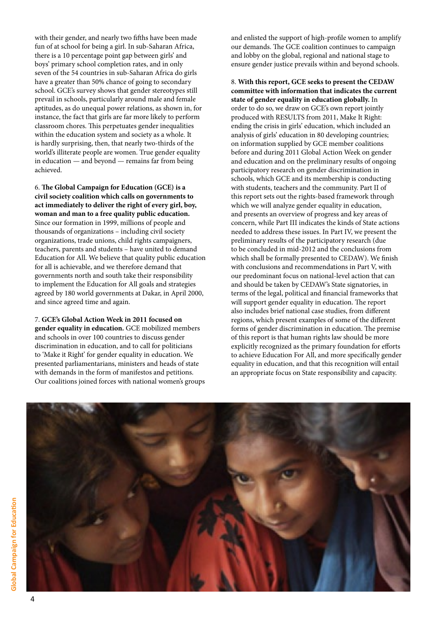with their gender, and nearly two fifths have been made fun of at school for being a girl. In sub-Saharan Africa, there is a 10 percentage point gap between girls' and boys' primary school completion rates, and in only seven of the 54 countries in sub-Saharan Africa do girls have a greater than 50% chance of going to secondary school. GCE's survey shows that gender stereotypes still prevail in schools, particularly around male and female aptitudes, as do unequal power relations, as shown in, for instance, the fact that girls are far more likely to perform classroom chores. This perpetuates gender inequalities within the education system and society as a whole. It is hardly surprising, then, that nearly two-thirds of the world's illiterate people are women. True gender equality in education — and beyond — remains far from being achieved.

6. **The Global Campaign for Education (GCE) is a civil society coalition which calls on governments to act immediately to deliver the right of every girl, boy, woman and man to a free quality public education.**  Since our formation in 1999, millions of people and thousands of organizations – including civil society organizations, trade unions, child rights campaigners, teachers, parents and students – have united to demand Education for All. We believe that quality public education for all is achievable, and we therefore demand that governments north and south take their responsibility to implement the Education for All goals and strategies agreed by 180 world governments at Dakar, in April 2000, and since agreed time and again.

7. **GCE's Global Action Week in 2011 focused on gender equality in education.** GCE mobilized members and schools in over 100 countries to discuss gender discrimination in education, and to call for politicians to 'Make it Right' for gender equality in education. We presented parliamentarians, ministers and heads of state with demands in the form of manifestos and petitions. Our coalitions joined forces with national women's groups

and enlisted the support of high-profile women to amplify our demands. The GCE coalition continues to campaign and lobby on the global, regional and national stage to ensure gender justice prevails within and beyond schools.

8. **With this report, GCE seeks to present the CEDAW committee with information that indicates the current state of gender equality in education globally.** In order to do so, we draw on GCE's own report jointly produced with RESULTS from 2011, Make It Right: ending the crisis in girls' education, which included an analysis of girls' education in 80 developing countries; on information supplied by GCE member coalitions before and during 2011 Global Action Week on gender and education and on the preliminary results of ongoing participatory research on gender discrimination in schools, which GCE and its membership is conducting with students, teachers and the community. Part II of this report sets out the rights-based framework through which we will analyze gender equality in education, and presents an overview of progress and key areas of concern, while Part III indicates the kinds of State actions needed to address these issues. In Part IV, we present the preliminary results of the participatory research (due to be concluded in mid-2012 and the conclusions from which shall be formally presented to CEDAW). We finish with conclusions and recommendations in Part V, with our predominant focus on national-level action that can and should be taken by CEDAW's State signatories, in terms of the legal, political and financial frameworks that will support gender equality in education. The report also includes brief national case studies, from different regions, which present examples of some of the different forms of gender discrimination in education. The premise of this report is that human rights law should be more explicitly recognized as the primary foundation for efforts to achieve Education For All, and more specifically gender equality in education, and that this recognition will entail an appropriate focus on State responsibility and capacity.

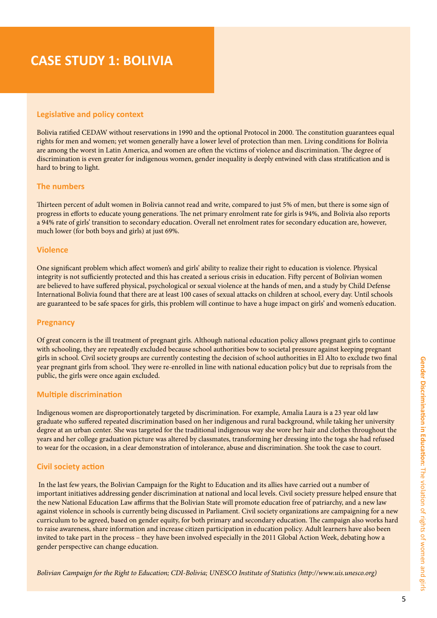### **CASE STUDY 1: BOLIVIA**

#### **Legislative and policy context**

Bolivia ratified CEDAW without reservations in 1990 and the optional Protocol in 2000. The constitution guarantees equal rights for men and women; yet women generally have a lower level of protection than men. Living conditions for Bolivia are among the worst in Latin America, and women are often the victims of violence and discrimination. The degree of discrimination is even greater for indigenous women, gender inequality is deeply entwined with class stratification and is hard to bring to light.

#### **The numbers**

Thirteen percent of adult women in Bolivia cannot read and write, compared to just 5% of men, but there is some sign of progress in efforts to educate young generations. The net primary enrolment rate for girls is 94%, and Bolivia also reports a 94% rate of girls' transition to secondary education. Overall net enrolment rates for secondary education are, however, much lower (for both boys and girls) at just 69%.

#### **Violence**

One significant problem which affect women's and girls' ability to realize their right to education is violence. Physical integrity is not sufficiently protected and this has created a serious crisis in education. Fifty percent of Bolivian women are believed to have suffered physical, psychological or sexual violence at the hands of men, and a study by Child Defense International Bolivia found that there are at least 100 cases of sexual attacks on children at school, every day. Until schools are guaranteed to be safe spaces for girls, this problem will continue to have a huge impact on girls' and women's education.

#### **Pregnancy**

Of great concern is the ill treatment of pregnant girls. Although national education policy allows pregnant girls to continue with schooling, they are repeatedly excluded because school authorities bow to societal pressure against keeping pregnant girls in school. Civil society groups are currently contesting the decision of school authorities in El Alto to exclude two final year pregnant girls from school. They were re-enrolled in line with national education policy but due to reprisals from the public, the girls were once again excluded.

#### **Multiple discrimination**

Indigenous women are disproportionately targeted by discrimination. For example, Amalia Laura is a 23 year old law graduate who suffered repeated discrimination based on her indigenous and rural background, while taking her university degree at an urban center. She was targeted for the traditional indigenous way she wore her hair and clothes throughout the years and her college graduation picture was altered by classmates, transforming her dressing into the toga she had refused to wear for the occasion, in a clear demonstration of intolerance, abuse and discrimination. She took the case to court.

#### **Civil society action**

 In the last few years, the Bolivian Campaign for the Right to Education and its allies have carried out a number of important initiatives addressing gender discrimination at national and local levels. Civil society pressure helped ensure that the new National Education Law affirms that the Bolivian State will promote education free of patriarchy, and a new law against violence in schools is currently being discussed in Parliament. Civil society organizations are campaigning for a new curriculum to be agreed, based on gender equity, for both primary and secondary education. The campaign also works hard to raise awareness, share information and increase citizen participation in education policy. Adult learners have also been invited to take part in the process – they have been involved especially in the 2011 Global Action Week, debating how a gender perspective can change education.

*Bolivian Campaign for the Right to Education; CDI-Bolivia; UNESCO Institute of Statistics (http://www.uis.unesco.org)*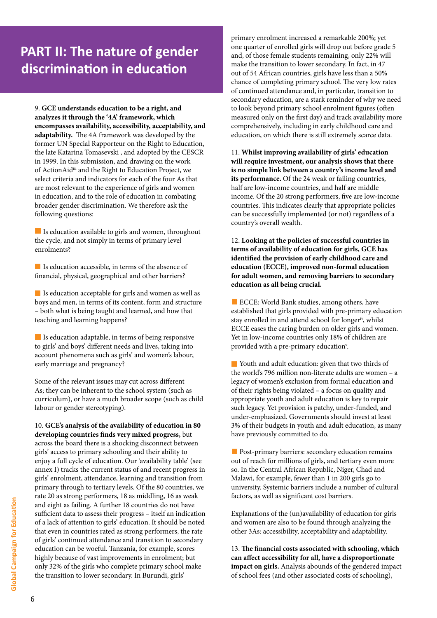# **PART II: The nature of gender discrimination in education**

9. **GCE understands education to be a right, and analyzes it through the '4A' framework, which encompasses availability, accessibility, acceptability, and adaptability.** The 4A framework was developed by the former UN Special Rapporteur on the Right to Education, the late Katarina Tomasevski , and adopted by the CESCR in 1999. In this submission, and drawing on the work of ActionAidiii and the Right to Education Project, we select criteria and indicators for each of the four As that are most relevant to the experience of girls and women in education, and to the role of education in combating broader gender discrimination. We therefore ask the following questions:

Is education available to girls and women, throughout the cycle, and not simply in terms of primary level enrolments?

 $\blacksquare$  Is education accessible, in terms of the absence of financial, physical, geographical and other barriers?

Is education acceptable for girls and women as well as boys and men, in terms of its content, form and structure – both what is being taught and learned, and how that teaching and learning happens?

Is education adaptable, in terms of being responsive to girls' and boys' different needs and lives, taking into account phenomena such as girls' and women's labour, early marriage and pregnancy?

Some of the relevant issues may cut across different As; they can be inherent to the school system (such as curriculum), or have a much broader scope (such as child labour or gender stereotyping).

10. **GCE's analysis of the availability of education in 80 developing countries finds very mixed progress,** but across the board there is a shocking disconnect between girls' access to primary schooling and their ability to enjoy a full cycle of education. Our 'availability table' (see annex I) tracks the current status of and recent progress in girls' enrolment, attendance, learning and transition from primary through to tertiary levels. Of the 80 countries, we rate 20 as strong performers, 18 as middling, 16 as weak and eight as failing. A further 18 countries do not have sufficient data to assess their progress – itself an indication of a lack of attention to girls' education. It should be noted that even in countries rated as strong performers, the rate of girls' continued attendance and transition to secondary education can be woeful. Tanzania, for example, scores highly because of vast improvements in enrolment; but only 32% of the girls who complete primary school make the transition to lower secondary. In Burundi, girls'

primary enrolment increased a remarkable 200%; yet one quarter of enrolled girls will drop out before grade 5 and, of those female students remaining, only 22% will make the transition to lower secondary. In fact, in 47 out of 54 African countries, girls have less than a 50% chance of completing primary school. The very low rates of continued attendance and, in particular, transition to secondary education, are a stark reminder of why we need to look beyond primary school enrolment figures (often measured only on the first day) and track availability more comprehensively, including in early childhood care and education, on which there is still extremely scarce data.

11. **Whilst improving availability of girls' education will require investment, our analysis shows that there is no simple link between a country's income level and its performance.** Of the 24 weak or failing countries, half are low-income countries, and half are middle income. Of the 20 strong performers, five are low-income countries. This indicates clearly that appropriate policies can be successfully implemented (or not) regardless of a country's overall wealth.

12. **Looking at the policies of successful countries in terms of availability of education for girls, GCE has identified the provision of early childhood care and education (ECCE), improved non-formal education for adult women, and removing barriers to secondary education as all being crucial.** 

ECCE: World Bank studies, among others, have established that girls provided with pre-primary education stay enrolled in and attend school for longer<sup>iv</sup>, whilst ECCE eases the caring burden on older girls and women. Yet in low-income countries only 18% of children are provided with a pre-primary education<sup>v</sup>.

 Youth and adult education: given that two thirds of the world's 796 million non-literate adults are women – a legacy of women's exclusion from formal education and of their rights being violated – a focus on quality and appropriate youth and adult education is key to repair such legacy. Yet provision is patchy, under-funded, and under-emphasized. Governments should invest at least 3% of their budgets in youth and adult education, as many have previously committed to do.

**Post-primary barriers: secondary education remains** out of reach for millions of girls, and tertiary even more so. In the Central African Republic, Niger, Chad and Malawi, for example, fewer than 1 in 200 girls go to university. Systemic barriers include a number of cultural factors, as well as significant cost barriers.

Explanations of the (un)availability of education for girls and women are also to be found through analyzing the other 3As: accessibility, acceptability and adaptability.

13. **The financial costs associated with schooling, which can affect accessibility for all, have a disproportionate impact on girls.** Analysis abounds of the gendered impact of school fees (and other associated costs of schooling),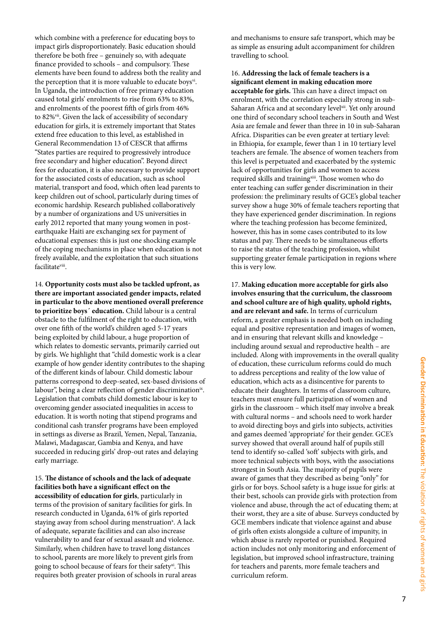which combine with a preference for educating boys to impact girls disproportionately. Basic education should therefore be both free – genuinely so, with adequate finance provided to schools – and compulsory. These elements have been found to address both the reality and the perception that it is more valuable to educate boys $v_i$ . In Uganda, the introduction of free primary education caused total girls' enrolments to rise from 63% to 83%, and enrolments of the poorest fifth of girls from 46% to 82%<sup>vii</sup>. Given the lack of accessibility of secondary education for girls, it is extremely important that States extend free education to this level, as established in General Recommendation 13 of CESCR that affirms "States parties are required to progressively introduce free secondary and higher education". Beyond direct fees for education, it is also necessary to provide support for the associated costs of education, such as school material, transport and food, which often lead parents to keep children out of school, particularly during times of economic hardship. Research published collaboratively by a number of organizations and US universities in early 2012 reported that many young women in postearthquake Haiti are exchanging sex for payment of educational expenses: this is just one shocking example of the coping mechanisms in place when education is not freely available, and the exploitation that such situations facilitateviii.

14. **Opportunity costs must also be tackled upfront, as there are important associated gender impacts, related in particular to the above mentioned overall preference to prioritize boys´ education.** Child labour is a central obstacle to the fulfilment of the right to education, with over one fifth of the world's children aged 5-17 years being exploited by child labour, a huge proportion of which relates to domestic servants, primarily carried out by girls. We highlight that "child domestic work is a clear example of how gender identity contributes to the shaping of the different kinds of labour. Child domestic labour patterns correspond to deep-seated, sex-based divisions of labour", being a clear reflection of gender discriminationix. Legislation that combats child domestic labour is key to overcoming gender associated inequalities in access to education. It is worth noting that stipend programs and conditional cash transfer programs have been employed in settings as diverse as Brazil, Yemen, Nepal, Tanzania, Malawi, Madagascar, Gambia and Kenya, and have succeeded in reducing girls' drop-out rates and delaying early marriage.

15. **The distance of schools and the lack of adequate facilities both have a significant effect on the accessibility of education for girls**, particularly in terms of the provision of sanitary facilities for girls. In research conducted in Uganda, 61% of girls reported staying away from school during menstruation<sup>x</sup>. A lack of adequate, separate facilities and can also increase vulnerability to and fear of sexual assault and violence. Similarly, when children have to travel long distances to school, parents are more likely to prevent girls from going to school because of fears for their safety<sup>xi</sup>. This requires both greater provision of schools in rural areas

and mechanisms to ensure safe transport, which may be as simple as ensuring adult accompaniment for children travelling to school.

16. **Addressing the lack of female teachers is a significant element in making education more acceptable for girls.** This can have a direct impact on enrolment, with the correlation especially strong in sub-Saharan Africa and at secondary level<sup>xii</sup>. Yet only around one third of secondary school teachers in South and West Asia are female and fewer than three in 10 in sub-Saharan Africa. Disparities can be even greater at tertiary level: in Ethiopia, for example, fewer than 1 in 10 tertiary level teachers are female. The absence of women teachers from this level is perpetuated and exacerbated by the systemic lack of opportunities for girls and women to access required skills and training<sup>xiii</sup>. Those women who do enter teaching can suffer gender discrimination in their profession: the preliminary results of GCE's global teacher survey show a huge 30% of female teachers reporting that they have experienced gender discrimination. In regions where the teaching profession has become feminized, however, this has in some cases contributed to its low status and pay. There needs to be simultaneous efforts to raise the status of the teaching profession, whilst supporting greater female participation in regions where this is very low.

17. **Making education more acceptable for girls also involves ensuring that the curriculum, the classroom and school culture are of high quality, uphold rights, and are relevant and safe.** In terms of curriculum reform, a greater emphasis is needed both on including equal and positive representation and images of women, and in ensuring that relevant skills and knowledge – including around sexual and reproductive health – are included. Along with improvements in the overall quality of education, these curriculum reforms could do much to address perceptions and reality of the low value of education, which acts as a disincentive for parents to educate their daughters. In terms of classroom culture, teachers must ensure full participation of women and girls in the classroom – which itself may involve a break with cultural norms – and schools need to work harder to avoid directing boys and girls into subjects, activities and games deemed 'appropriate' for their gender. GCE's survey showed that overall around half of pupils still tend to identify so-called 'soft' subjects with girls, and more technical subjects with boys, with the associations strongest in South Asia. The majority of pupils were aware of games that they described as being "only" for girls or for boys. School safety is a huge issue for girls: at their best, schools can provide girls with protection from violence and abuse, through the act of educating them; at their worst, they are a site of abuse. Surveys conducted by GCE members indicate that violence against and abuse of girls often exists alongside a culture of impunity, in which abuse is rarely reported or punished. Required action includes not only monitoring and enforcement of legislation, but improved school infrastructure, training for teachers and parents, more female teachers and curriculum reform.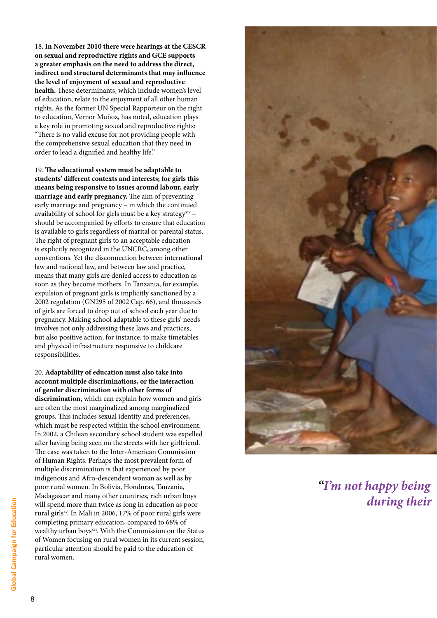18. **In November 2010 there were hearings at the CESCR on sexual and reproductive rights and GCE supports a greater emphasis on the need to address the direct, indirect and structural determinants that may influence the level of enjoyment of sexual and reproductive health.** These determinants, which include women's level of education, relate to the enjoyment of all other human rights. As the former UN Special Rapporteur on the right to education, Vernor Muñoz, has noted, education plays a key role in promoting sexual and reproductive rights: "There is no valid excuse for not providing people with the comprehensive sexual education that they need in order to lead a dignified and healthy life."

19. **The educational system must be adaptable to students' different contexts and interests; for girls this means being responsive to issues around labour, early marriage and early pregnancy.** The aim of preventing early marriage and pregnancy – in which the continued availability of school for girls must be a key strategy<sup>xiv</sup> – should be accompanied by efforts to ensure that education is available to girls regardless of marital or parental status. The right of pregnant girls to an acceptable education is explicitly recognized in the UNCRC, among other conventions. Yet the disconnection between international law and national law, and between law and practice, means that many girls are denied access to education as soon as they become mothers. In Tanzania, for example, expulsion of pregnant girls is implicitly sanctioned by a 2002 regulation (GN295 of 2002 Cap. 66), and thousands of girls are forced to drop out of school each year due to pregnancy. Making school adaptable to these girls' needs involves not only addressing these laws and practices, but also positive action, for instance, to make timetables and physical infrastructure responsive to childcare responsibilities.

### 20. **Adaptability of education must also take into account multiple discriminations, or the interaction of gender discrimination with other forms of discrimination,** which can explain how women and girls

are often the most marginalized among marginalized groups. This includes sexual identity and preferences, which must be respected within the school environment. In 2002, a Chilean secondary school student was expelled after having being seen on the streets with her girlfriend. The case was taken to the Inter-American Commission of Human Rights. Perhaps the most prevalent form of multiple discrimination is that experienced by poor indigenous and Afro-descendent woman as well as by poor rural women. In Bolivia, Honduras, Tanzania, Madagascar and many other countries, rich urban boys will spend more than twice as long in education as poor rural girlsxv. In Mali in 2006, 17% of poor rural girls were completing primary education, compared to 68% of wealthy urban boysxvi. With the Commission on the Status of Women focusing on rural women in its current session, particular attention should be paid to the education of rural women.



*"I'm not happy being* during their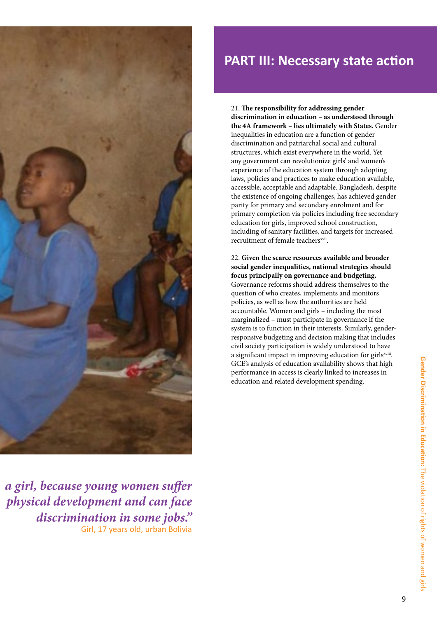

### **PART III: Necessary state action**

21. **The responsibility for addressing gender discrimination in education – as understood through the 4A framework – lies ultimately with States.** Gender inequalities in education are a function of gender discrimination and patriarchal social and cultural structures, which exist everywhere in the world. Yet any government can revolutionize girls' and women's experience of the education system through adopting laws, policies and practices to make education available, accessible, acceptable and adaptable. Bangladesh, despite the existence of ongoing challenges, has achieved gender parity for primary and secondary enrolment and for primary completion via policies including free secondary education for girls, improved school construction, including of sanitary facilities, and targets for increased recruitment of female teachers<sup>xvii</sup>.

22. **Given the scarce resources available and broader social gender inequalities, national strategies should focus principally on governance and budgeting.**  Governance reforms should address themselves to the question of who creates, implements and monitors policies, as well as how the authorities are held accountable. Women and girls – including the most marginalized – must participate in governance if the system is to function in their interests. Similarly, genderresponsive budgeting and decision making that includes civil society participation is widely understood to have a significant impact in improving education for girls<sup>xviii</sup>. GCE's analysis of education availability shows that high performance in access is clearly linked to increases in education and related development spending.

*a girl, because young women suffer during their physical development and can face discrimination in some jobs."* Girl, 17 years old, urban Bolivia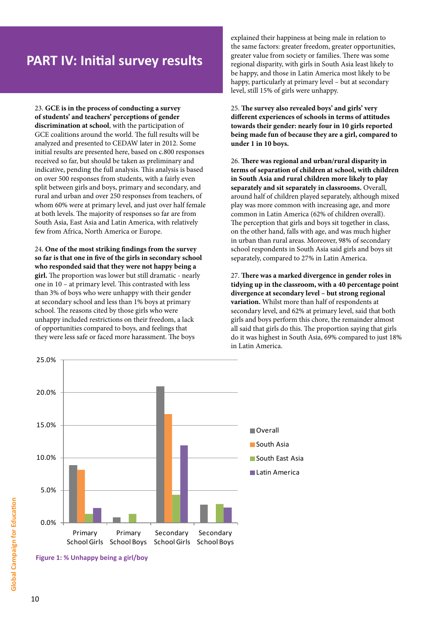23. **GCE is in the process of conducting a survey of students' and teachers' perceptions of gender discrimination at school**, with the participation of GCE coalitions around the world. The full results will be analyzed and presented to CEDAW later in 2012. Some initial results are presented here, based on c.800 responses received so far, but should be taken as preliminary and indicative, pending the full analysis. This analysis is based on over 500 responses from students, with a fairly even split between girls and boys, primary and secondary, and rural and urban and over 250 responses from teachers, of whom 60% were at primary level, and just over half female at both levels. The majority of responses so far are from South Asia, East Asia and Latin America, with relatively few from Africa, North America or Europe.

24. **One of the most striking findings from the survey so far is that one in five of the girls in secondary school who responded said that they were not happy being a girl.** The proportion was lower but still dramatic - nearly one in 10 – at primary level. This contrasted with less than 3% of boys who were unhappy with their gender at secondary school and less than 1% boys at primary school. The reasons cited by those girls who were unhappy included restrictions on their freedom, a lack of opportunities compared to boys, and feelings that they were less safe or faced more harassment. The boys

explained their happiness at being male in relation to the same factors: greater freedom, greater opportunities, greater value from society or families. There was some regional disparity, with girls in South Asia least likely to be happy, and those in Latin America most likely to be happy, particularly at primary level – but at secondary level, still 15% of girls were unhappy.

25. **The survey also revealed boys' and girls' very different experiences of schools in terms of attitudes towards their gender: nearly four in 10 girls reported being made fun of because they are a girl, compared to under 1 in 10 boys.** 

26. **There was regional and urban/rural disparity in terms of separation of children at school, with children in South Asia and rural children more likely to play separately and sit separately in classrooms.** Overall, around half of children played separately, although mixed play was more common with increasing age, and more common in Latin America (62% of children overall). The perception that girls and boys sit together in class, on the other hand, falls with age, and was much higher in urban than rural areas. Moreover, 98% of secondary school respondents in South Asia said girls and boys sit separately, compared to 27% in Latin America.

27. **There was a marked divergence in gender roles in tidying up in the classroom, with a 40 percentage point divergence at secondary level – but strong regional variation.** Whilst more than half of respondents at secondary level, and 62% at primary level, said that both girls and boys perform this chore, the remainder almost all said that girls do this. The proportion saying that girls do it was highest in South Asia, 69% compared to just 18% in Latin America.



**Figure 1: % Unhappy being a girl/boy**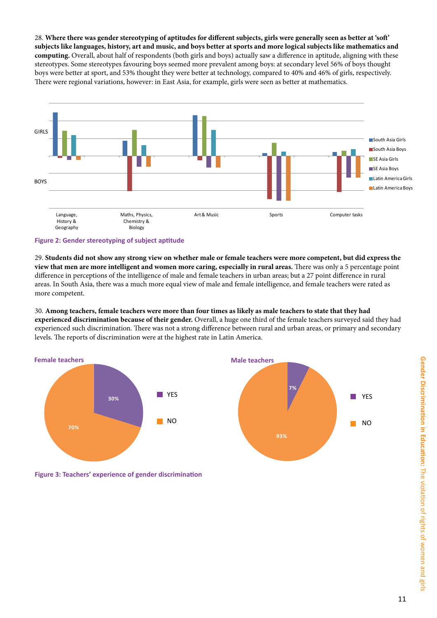28. **Where there was gender stereotyping of aptitudes for different subjects, girls were generally seen as better at 'soft' subjects like languages, history, art and music, and boys better at sports and more logical subjects like mathematics and computing.** Overall, about half of respondents (both girls and boys) actually saw a difference in aptitude, aligning with these stereotypes. Some stereotypes favouring boys seemed more prevalent among boys: at secondary level 56% of boys thought boys were better at sport, and 53% thought they were better at technology, compared to 40% and 46% of girls, respectively. There were regional variations, however: in East Asia, for example, girls were seen as better at mathematics.



#### **Figure 2: Gender stereotyping of subject aptitude**

29. **Students did not show any strong view on whether male or female teachers were more competent, but did express the view that men are more intelligent and women more caring, especially in rural areas.** There was only a 5 percentage point difference in perceptions of the intelligence of male and female teachers in urban areas; but a 27 point difference in rural areas. In South Asia, there was a much more equal view of male and female intelligence, and female teachers were rated as more competent.

30. **Among teachers, female teachers were more than four times as likely as male teachers to state that they had experienced discrimination because of their gender.** Overall, a huge one third of the female teachers surveyed said they had experienced such discrimination. There was not a strong difference between rural and urban areas, or primary and secondary levels. The reports of discrimination were at the highest rate in Latin America.



**Figure 3: Teachers' experience of gender discrimination**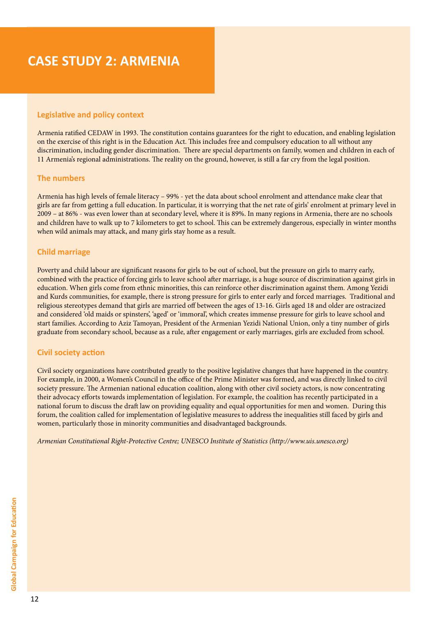# **CASE STUDY 2: ARMENIA**

#### **Legislative and policy context**

Armenia ratified CEDAW in 1993. The constitution contains guarantees for the right to education, and enabling legislation on the exercise of this right is in the Education Act. This includes free and compulsory education to all without any discrimination, including gender discrimination. There are special departments on family, women and children in each of 11 Armenia's regional administrations. The reality on the ground, however, is still a far cry from the legal position.

#### **The numbers**

Armenia has high levels of female literacy – 99% - yet the data about school enrolment and attendance make clear that girls are far from getting a full education. In particular, it is worrying that the net rate of girls' enrolment at primary level in 2009 – at 86% - was even lower than at secondary level, where it is 89%. In many regions in Armenia, there are no schools and children have to walk up to 7 kilometers to get to school. This can be extremely dangerous, especially in winter months when wild animals may attack, and many girls stay home as a result.

#### **Child marriage**

Poverty and child labour are significant reasons for girls to be out of school, but the pressure on girls to marry early, combined with the practice of forcing girls to leave school after marriage, is a huge source of discrimination against girls in education. When girls come from ethnic minorities, this can reinforce other discrimination against them. Among Yezidi and Kurds communities, for example, there is strong pressure for girls to enter early and forced marriages. Traditional and religious stereotypes demand that girls are married off between the ages of 13-16. Girls aged 18 and older are ostracized and considered 'old maids or spinsters', 'aged' or 'immoral', which creates immense pressure for girls to leave school and start families. According to Aziz Tamoyan, President of the Armenian Yezidi National Union, only a tiny number of girls graduate from secondary school, because as a rule, after engagement or early marriages, girls are excluded from school.

#### **Civil society action**

Civil society organizations have contributed greatly to the positive legislative changes that have happened in the country. For example, in 2000, a Women's Council in the office of the Prime Minister was formed, and was directly linked to civil society pressure. The Armenian national education coalition, along with other civil society actors, is now concentrating their advocacy efforts towards implementation of legislation. For example, the coalition has recently participated in a national forum to discuss the draft law on providing equality and equal opportunities for men and women. During this forum, the coalition called for implementation of legislative measures to address the inequalities still faced by girls and women, particularly those in minority communities and disadvantaged backgrounds.

*Armenian Constitutional Right-Protective Centre; UNESCO Institute of Statistics (http://www.uis.unesco.org)*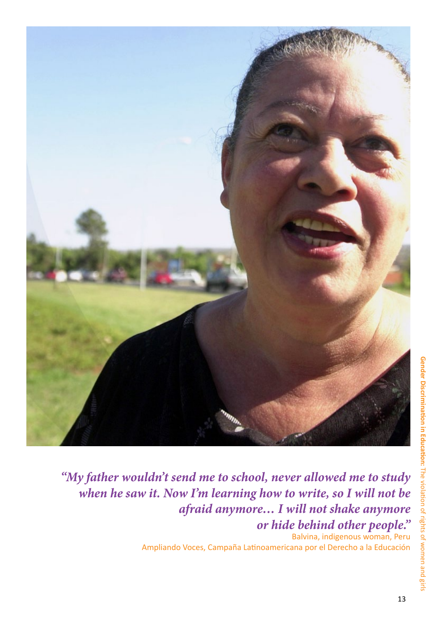

*"My father wouldn't send me to school, never allowed me to study when he saw it. Now I'm learning how to write, so I will not be afraid anymore… I will not shake anymore or hide behind other people."* 

Balvina, indigenous woman, Peru Ampliando Voces, Campaña Latinoamericana por el Derecho a la Educación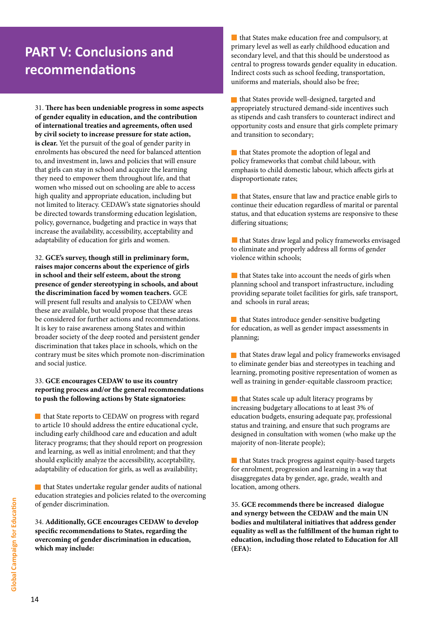# **PART V: Conclusions and recommendations**

31. **There has been undeniable progress in some aspects of gender equality in education, and the contribution of international treaties and agreements, often used by civil society to increase pressure for state action, is clear.** Yet the pursuit of the goal of gender parity in enrolments has obscured the need for balanced attention to, and investment in, laws and policies that will ensure that girls can stay in school and acquire the learning they need to empower them throughout life, and that women who missed out on schooling are able to access high quality and appropriate education, including but not limited to literacy. CEDAW's state signatories should be directed towards transforming education legislation, policy, governance, budgeting and practice in ways that increase the availability, accessibility, acceptability and adaptability of education for girls and women.

32. **GCE's survey, though still in preliminary form, raises major concerns about the experience of girls in school and their self esteem, about the strong presence of gender stereotyping in schools, and about the discrimination faced by women teachers.** GCE will present full results and analysis to CEDAW when these are available, but would propose that these areas be considered for further actions and recommendations. It is key to raise awareness among States and within broader society of the deep rooted and persistent gender discrimination that takes place in schools, which on the contrary must be sites which promote non-discrimination and social justice.

#### 33. **GCE encourages CEDAW to use its country reporting process and/or the general recommendations to push the following actions by State signatories:**

**that State reports to CEDAW on progress with regard** to article 10 should address the entire educational cycle, including early childhood care and education and adult literacy programs; that they should report on progression and learning, as well as initial enrolment; and that they should explicitly analyze the accessibility, acceptability, adaptability of education for girls, as well as availability;

 that States undertake regular gender audits of national education strategies and policies related to the overcoming of gender discrimination.

34. **Additionally, GCE encourages CEDAW to develop specific recommendations to States, regarding the overcoming of gender discrimination in education, which may include:**

**that States make education free and compulsory, at** primary level as well as early childhood education and secondary level, and that this should be understood as central to progress towards gender equality in education. Indirect costs such as school feeding, transportation, uniforms and materials, should also be free;

that States provide well-designed, targeted and appropriately structured demand-side incentives such as stipends and cash transfers to counteract indirect and opportunity costs and ensure that girls complete primary and transition to secondary;

 that States promote the adoption of legal and policy frameworks that combat child labour, with emphasis to child domestic labour, which affects girls at disproportionate rates;

 that States, ensure that law and practice enable girls to continue their education regardless of marital or parental status, and that education systems are responsive to these differing situations;

**that States draw legal and policy frameworks envisaged** to eliminate and properly address all forms of gender violence within schools;

 $\blacksquare$  that States take into account the needs of girls when planning school and transport infrastructure, including providing separate toilet facilities for girls, safe transport, and schools in rural areas;

**that States introduce gender-sensitive budgeting** for education, as well as gender impact assessments in planning;

 that States draw legal and policy frameworks envisaged to eliminate gender bias and stereotypes in teaching and learning, promoting positive representation of women as well as training in gender-equitable classroom practice;

**that States scale up adult literacy programs by** increasing budgetary allocations to at least 3% of education budgets, ensuring adequate pay, professional status and training, and ensure that such programs are designed in consultation with women (who make up the majority of non-literate people);

**that States track progress against equity-based targets** for enrolment, progression and learning in a way that disaggregates data by gender, age, grade, wealth and location, among others.

35. **GCE recommends there be increased dialogue and synergy between the CEDAW and the main UN bodies and multilateral initiatives that address gender equality as well as the fulfillment of the human right to education, including those related to Education for All (EFA):**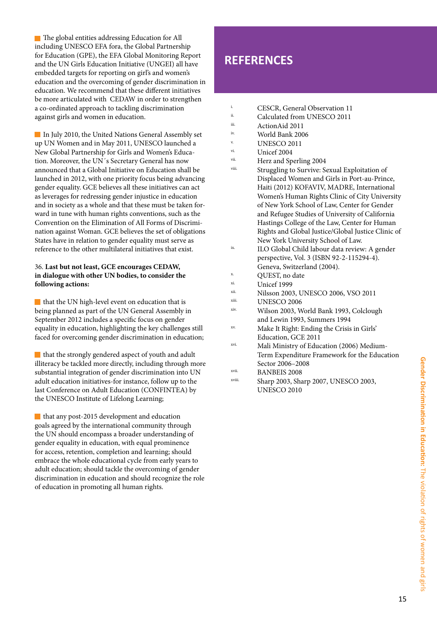The global entities addressing Education for All including UNESCO EFA fora, the Global Partnership for Education (GPE), the EFA Global Monitoring Report and the UN Girls Education Initiative (UNGEI) all have embedded targets for reporting on girl's and women's education and the overcoming of gender discrimination in education. We recommend that these different initiatives be more articulated with CEDAW in order to strengthen a co-ordinated approach to tackling discrimination against girls and women in education.

In July 2010, the United Nations General Assembly set up UN Women and in May 2011, UNESCO launched a New Global Partnership for Girls and Women's Education. Moreover, the UN´s Secretary General has now announced that a Global Initiative on Education shall be launched in 2012, with one priority focus being advancing gender equality. GCE believes all these initiatives can act as leverages for redressing gender injustice in education and in society as a whole and that these must be taken forward in tune with human rights conventions, such as the Convention on the Elimination of All Forms of Discrimination against Woman. GCE believes the set of obligations States have in relation to gender equality must serve as reference to the other multilateral initiatives that exist.

#### 36. **Last but not least, GCE encourages CEDAW, in dialogue with other UN bodies, to consider the following actions:**

that the UN high-level event on education that is being planned as part of the UN General Assembly in September 2012 includes a specific focus on gender equality in education, highlighting the key challenges still faced for overcoming gender discrimination in education;

that the strongly gendered aspect of youth and adult illiteracy be tackled more directly, including through more substantial integration of gender discrimination into UN adult education initiatives-for instance, follow up to the last Conference on Adult Education (CONFINTEA) by the UNESCO Institute of Lifelong Learning;

that any post-2015 development and education goals agreed by the international community through the UN should encompass a broader understanding of gender equality in education, with equal prominence for access, retention, completion and learning; should embrace the whole educational cycle from early years to adult education; should tackle the overcoming of gender discrimination in education and should recognize the role of education in promoting all human rights.

### **REFERENCES**

- <sup>i.</sup> CESCR, General Observation 11<sup>i</sup>. Colculated from UNESCO 2011
- $\frac{ii}{i}$  Calculated from UNESCO 2011
- $\frac{iii}{iv}$  Action Aid 2011
- <sup>iv.</sup><br>World Bank 2006<br>INESCO 2011
- v. UNESCO 2011
- Unicef 2004
- vii. Herz and Sperling 2004
- Struggling to Survive: Sexual Exploitation of Displaced Women and Girls in Port-au-Prince, Haiti (2012) KOFAVIV, MADRE, International Women's Human Rights Clinic of City University of New York School of Law, Center for Gender and Refugee Studies of University of California Hastings College of the Law, Center for Human Rights and Global Justice/Global Justice Clinic of New York University School of Law.
- ix. ILO Global Child labour data review: A gender perspective, Vol. 3 (ISBN 92-2-115294-4). Geneva, Switzerland (2004).
- x. QUEST, no date
- $\frac{x_i}{x_i}$  Unicef 1999
- $x$ ii. Nilsson 2003, UNESCO 2006, VSO 2011
- xiii. UNESCO 2006<br>xiv. Wilson 2002, M
- Wilson 2003, World Bank 1993, Colclough and Lewin 1993, Summers 1994
- xv. Make It Right: Ending the Crisis in Girls' Education, GCE 2011
- xvi. Mali Ministry of Education (2006) Medium-Term Expenditure Framework for the Education Sector 2006–2008
- <sup>xvii.</sup> BANBEIS 2008
- Sharp 2003, Sharp 2007, UNESCO 2003, UNESCO 2010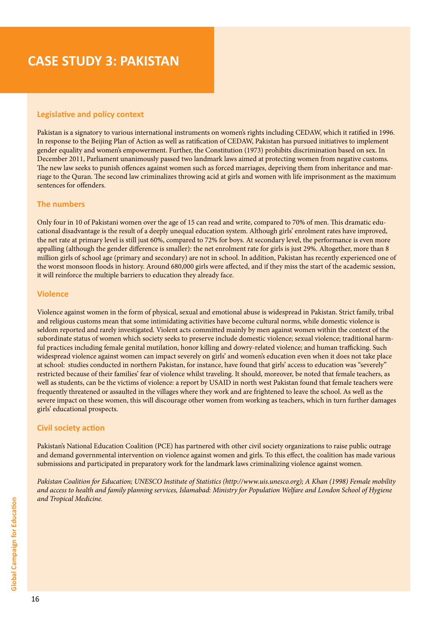## **CASE STUDY 3: PAKISTAN**

#### **Legislative and policy context**

Pakistan is a signatory to various international instruments on women's rights including CEDAW, which it ratified in 1996. In response to the Beijing Plan of Action as well as ratification of CEDAW, Pakistan has pursued initiatives to implement gender equality and women's empowerment. Further, the Constitution (1973) prohibits discrimination based on sex. In December 2011, Parliament unanimously passed two landmark laws aimed at protecting women from negative customs. The new law seeks to punish offences against women such as forced marriages, depriving them from inheritance and marriage to the Quran. The second law criminalizes throwing acid at girls and women with life imprisonment as the maximum sentences for offenders.

#### **The numbers**

Only four in 10 of Pakistani women over the age of 15 can read and write, compared to 70% of men. This dramatic educational disadvantage is the result of a deeply unequal education system. Although girls' enrolment rates have improved, the net rate at primary level is still just 60%, compared to 72% for boys. At secondary level, the performance is even more appalling (although the gender difference is smaller): the net enrolment rate for girls is just 29%. Altogether, more than 8 million girls of school age (primary and secondary) are not in school. In addition, Pakistan has recently experienced one of the worst monsoon floods in history. Around 680,000 girls were affected, and if they miss the start of the academic session, it will reinforce the multiple barriers to education they already face.

#### **Violence**

Violence against women in the form of physical, sexual and emotional abuse is widespread in Pakistan. Strict family, tribal and religious customs mean that some intimidating activities have become cultural norms, while domestic violence is seldom reported and rarely investigated. Violent acts committed mainly by men against women within the context of the subordinate status of women which society seeks to preserve include domestic violence; sexual violence; traditional harmful practices including female genital mutilation, honor killing and dowry-related violence; and human trafficking. Such widespread violence against women can impact severely on girls' and women's education even when it does not take place at school: studies conducted in northern Pakistan, for instance, have found that girls' access to education was "severely" restricted because of their families' fear of violence whilst traveling. It should, moreover, be noted that female teachers, as well as students, can be the victims of violence: a report by USAID in north west Pakistan found that female teachers were frequently threatened or assaulted in the villages where they work and are frightened to leave the school. As well as the severe impact on these women, this will discourage other women from working as teachers, which in turn further damages girls' educational prospects.

#### **Civil society action**

Pakistan's National Education Coalition (PCE) has partnered with other civil society organizations to raise public outrage and demand governmental intervention on violence against women and girls. To this effect, the coalition has made various submissions and participated in preparatory work for the landmark laws criminalizing violence against women.

*Pakistan Coalition for Education; UNESCO Institute of Statistics (http://www.uis.unesco.org); A Khan (1998) Female mobility and access to health and family planning services, Islamabad: Ministry for Population Welfare and London School of Hygiene and Tropical Medicine.*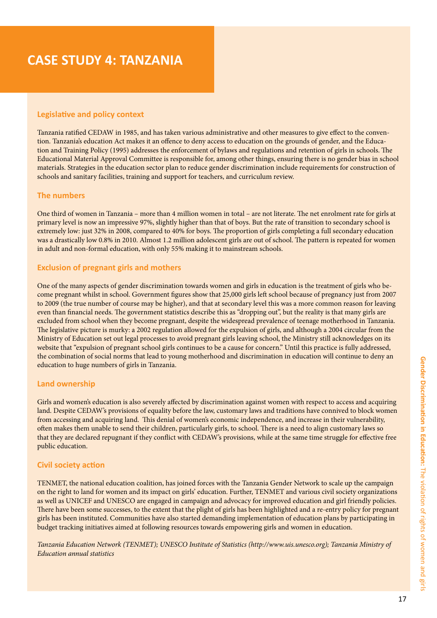# **CASE STUDY 4: TANZANIA**

#### **Legislative and policy context**

Tanzania ratified CEDAW in 1985, and has taken various administrative and other measures to give effect to the convention. Tanzania's education Act makes it an offence to deny access to education on the grounds of gender, and the Education and Training Policy (1995) addresses the enforcement of bylaws and regulations and retention of girls in schools. The Educational Material Approval Committee is responsible for, among other things, ensuring there is no gender bias in school materials. Strategies in the education sector plan to reduce gender discrimination include requirements for construction of schools and sanitary facilities, training and support for teachers, and curriculum review.

#### **The numbers**

One third of women in Tanzania – more than 4 million women in total – are not literate. The net enrolment rate for girls at primary level is now an impressive 97%, slightly higher than that of boys. But the rate of transition to secondary school is extremely low: just 32% in 2008, compared to 40% for boys. The proportion of girls completing a full secondary education was a drastically low 0.8% in 2010. Almost 1.2 million adolescent girls are out of school. The pattern is repeated for women in adult and non-formal education, with only 55% making it to mainstream schools.

#### **Exclusion of pregnant girls and mothers**

One of the many aspects of gender discrimination towards women and girls in education is the treatment of girls who become pregnant whilst in school. Government figures show that 25,000 girls left school because of pregnancy just from 2007 to 2009 (the true number of course may be higher), and that at secondary level this was a more common reason for leaving even than financial needs. The government statistics describe this as "dropping out", but the reality is that many girls are excluded from school when they become pregnant, despite the widespread prevalence of teenage motherhood in Tanzania. The legislative picture is murky: a 2002 regulation allowed for the expulsion of girls, and although a 2004 circular from the Ministry of Education set out legal processes to avoid pregnant girls leaving school, the Ministry still acknowledges on its website that "expulsion of pregnant school girls continues to be a cause for concern." Until this practice is fully addressed, the combination of social norms that lead to young motherhood and discrimination in education will continue to deny an education to huge numbers of girls in Tanzania.

#### **Land ownership**

Girls and women's education is also severely affected by discrimination against women with respect to access and acquiring land. Despite CEDAW's provisions of equality before the law, customary laws and traditions have connived to block women from accessing and acquiring land. This denial of women's economic independence, and increase in their vulnerability, often makes them unable to send their children, particularly girls, to school. There is a need to align customary laws so that they are declared repugnant if they conflict with CEDAW's provisions, while at the same time struggle for effective free public education.

#### **Civil society action**

TENMET, the national education coalition, has joined forces with the Tanzania Gender Network to scale up the campaign on the right to land for women and its impact on girls' education. Further, TENMET and various civil society organizations as well as UNICEF and UNESCO are engaged in campaign and advocacy for improved education and girl friendly policies. There have been some successes, to the extent that the plight of girls has been highlighted and a re-entry policy for pregnant girls has been instituted. Communities have also started demanding implementation of education plans by participating in budget tracking initiatives aimed at following resources towards empowering girls and women in education.

*Tanzania Education Network (TENMET); UNESCO Institute of Statistics (http://www.uis.unesco.org); Tanzania Ministry of Education annual statistics*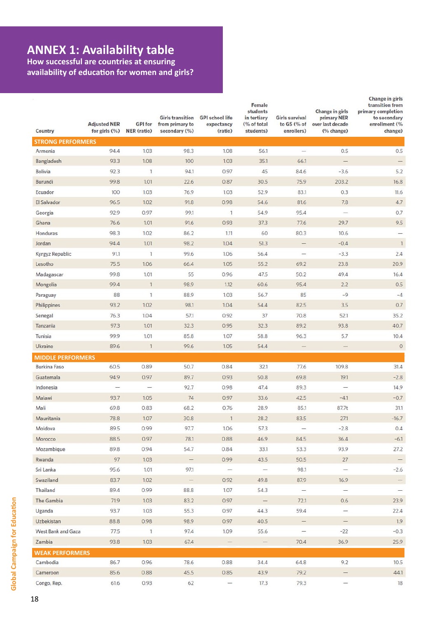### **ANNEX 1: Availability table**

**How successful are countries at ensuring availability of education for women and girls?**

| Country                  | <b>Adjusted NER</b><br>for girls $(%$ | <b>GPI</b> for<br><b>NER</b> (ratio) | <b>Girls transition</b><br>from primary to<br>secondary (%) | <b>GPI school life</b><br>expectancy<br>(ratio)                                                                                                                                                                                                                                                                                                                                                                                                        | Female<br>students<br>in tertiary<br>(% of total<br>students) | <b>Girls survival</b><br>to G5 (% of<br>enrollers) | Change in girls<br>primary NER<br>over last decade<br>(% change) | Change in girls<br>transition from<br>primary completion<br>to secondary<br>enrollment (%<br>change) |
|--------------------------|---------------------------------------|--------------------------------------|-------------------------------------------------------------|--------------------------------------------------------------------------------------------------------------------------------------------------------------------------------------------------------------------------------------------------------------------------------------------------------------------------------------------------------------------------------------------------------------------------------------------------------|---------------------------------------------------------------|----------------------------------------------------|------------------------------------------------------------------|------------------------------------------------------------------------------------------------------|
| <b>STRONG PERFORMERS</b> |                                       |                                      |                                                             |                                                                                                                                                                                                                                                                                                                                                                                                                                                        |                                                               |                                                    |                                                                  |                                                                                                      |
| Armenia                  | 94.4                                  | 1.03                                 | 98.3                                                        | 1.08                                                                                                                                                                                                                                                                                                                                                                                                                                                   | 56.1                                                          |                                                    | 0.5                                                              | 0.5                                                                                                  |
| Bangladesh               | 93.3                                  | 1.08                                 | 100                                                         | 1.03                                                                                                                                                                                                                                                                                                                                                                                                                                                   | 35.1                                                          | 66.1                                               |                                                                  |                                                                                                      |
| <b>Bolivia</b>           | 92.3                                  | $\mathbf{1}$                         | 94.1                                                        | 0.97                                                                                                                                                                                                                                                                                                                                                                                                                                                   | 45                                                            | 84.6                                               | $-3.6$                                                           | 5.2                                                                                                  |
| Burundi                  | 99.8                                  | 1.01                                 | 22.6                                                        | 0.87                                                                                                                                                                                                                                                                                                                                                                                                                                                   | 30.5                                                          | 75.9                                               | 203.2                                                            | 16.8                                                                                                 |
| Ecuador                  | 100                                   | 1.03                                 | 76.9                                                        | 1.03                                                                                                                                                                                                                                                                                                                                                                                                                                                   | 52.9                                                          | 83.1                                               | 0.3                                                              | 11.6                                                                                                 |
| El Salvador              | 96.5                                  | 1.02                                 | 91.8                                                        | 0.98                                                                                                                                                                                                                                                                                                                                                                                                                                                   | 54.6                                                          | 81.6                                               | 7.8                                                              | 4.7                                                                                                  |
| Georgia                  | 92.9                                  | 0.97                                 | 99.1                                                        | $\mathbf{1}$                                                                                                                                                                                                                                                                                                                                                                                                                                           | 54.9                                                          | 95.4                                               | -                                                                | 0.7                                                                                                  |
| Ghana                    | 76.6                                  | 1.01                                 | 91.6                                                        | 0.93                                                                                                                                                                                                                                                                                                                                                                                                                                                   | 37.3                                                          | 77.6                                               | 29.7                                                             | 9.5                                                                                                  |
| Honduras                 | 98.3                                  | 1.02                                 | 86.2                                                        | 1.11                                                                                                                                                                                                                                                                                                                                                                                                                                                   | 60                                                            | 80.3                                               | 10.6                                                             |                                                                                                      |
| Jordan                   | 94.4                                  | 1.01                                 | 98.2                                                        | 1.04                                                                                                                                                                                                                                                                                                                                                                                                                                                   | 51.3                                                          | $\qquad \qquad -$                                  | $-0.4$                                                           | $\mathbf{1}$                                                                                         |
| Kyrgyz Republic          | 91.1                                  | $\mathbf{1}$                         | 99.6                                                        | 1.06                                                                                                                                                                                                                                                                                                                                                                                                                                                   | 56.4                                                          | $\overline{\phantom{0}}$                           | $-3.3$                                                           | 2.4                                                                                                  |
| Lesotho                  | 75.5                                  | 1.06                                 | 66.4                                                        | 1.05                                                                                                                                                                                                                                                                                                                                                                                                                                                   | 55.2                                                          | 69.2                                               | 23.8                                                             | 20.9                                                                                                 |
| Madagascar               | 99.8                                  | 1.01                                 | 55                                                          | 0.96                                                                                                                                                                                                                                                                                                                                                                                                                                                   | 47.5                                                          | 50.2                                               | 49.4                                                             | 16.4                                                                                                 |
| Mongolia                 | 99.4                                  | $\mathbf{1}$                         | 98.9                                                        | 1.12                                                                                                                                                                                                                                                                                                                                                                                                                                                   | 60.6                                                          | 95.4                                               | 2.2                                                              | 0.5                                                                                                  |
| Paraguay                 | 88                                    | 1                                    | 88.9                                                        | 1.03                                                                                                                                                                                                                                                                                                                                                                                                                                                   | 56.7                                                          | 85                                                 | $-9$                                                             | $-4$                                                                                                 |
| Philippines              | 93.2                                  | 1.02                                 | 98.1                                                        | 1.04                                                                                                                                                                                                                                                                                                                                                                                                                                                   | 54.4                                                          | 82.5                                               | 3.5                                                              | 0.7                                                                                                  |
| Senegal                  | 76.3                                  | 1.04                                 | 57.1                                                        | 0.92                                                                                                                                                                                                                                                                                                                                                                                                                                                   | 37                                                            | 70.8                                               | 52.1                                                             | 35.2                                                                                                 |
| Tanzania                 | 97.3                                  | 1.01                                 | 32.3                                                        | 0.95                                                                                                                                                                                                                                                                                                                                                                                                                                                   | 32.3                                                          | 89.2                                               | 93.8                                                             | 40.7                                                                                                 |
| Tunisia                  | 99.9                                  | 1.01                                 | 85.8                                                        | 1.07                                                                                                                                                                                                                                                                                                                                                                                                                                                   | 58.8                                                          | 96.3                                               | 5.7                                                              | 10.4                                                                                                 |
| Ukraine                  | 89.6                                  | $\overline{1}$                       | 99.6                                                        | 1.05                                                                                                                                                                                                                                                                                                                                                                                                                                                   | 54.4                                                          | -                                                  | $\qquad \qquad$                                                  | $\circ$                                                                                              |
| <b>MIDDLE PERFORMERS</b> |                                       |                                      |                                                             |                                                                                                                                                                                                                                                                                                                                                                                                                                                        |                                                               |                                                    |                                                                  |                                                                                                      |
| <b>Burkina Faso</b>      | 60.5                                  | 0.89                                 | 50.7                                                        | 0.84                                                                                                                                                                                                                                                                                                                                                                                                                                                   | 32.1                                                          | 77.6                                               | 109.8                                                            | 31.4                                                                                                 |
| Guatemala                | 94.9                                  | 0.97                                 | 89.7                                                        | 0.93                                                                                                                                                                                                                                                                                                                                                                                                                                                   | 50.8                                                          | 69.8                                               | 19.1                                                             | $-2.8$                                                                                               |
| Indonesia                | $\overline{\phantom{0}}$              | $\overline{\phantom{a}}$             | 92.7                                                        | 0.98                                                                                                                                                                                                                                                                                                                                                                                                                                                   | 47.4                                                          | 89.3                                               | -                                                                | 14.9                                                                                                 |
| Malawi                   | 93.7                                  | 1.05                                 | 74                                                          | 0.97                                                                                                                                                                                                                                                                                                                                                                                                                                                   | 33.6                                                          | 42.5                                               | $-4.1$                                                           | $-0.7$                                                                                               |
| Mali                     | 69.8                                  | 0.83                                 | 68.2                                                        | 0.76                                                                                                                                                                                                                                                                                                                                                                                                                                                   | 28.9                                                          | 85.1                                               | 87.7t                                                            | 31.1                                                                                                 |
| Mauritania               | 78.8                                  | 1.07                                 | 30.8                                                        | $\mathsf{I}$                                                                                                                                                                                                                                                                                                                                                                                                                                           | 28.2                                                          | 83.5                                               | 27.1                                                             | $-16.7$                                                                                              |
| Moldova                  | 89.5                                  | 0.99                                 | 97.7                                                        | 1.06                                                                                                                                                                                                                                                                                                                                                                                                                                                   | 57.3                                                          | $\overline{\phantom{a}}$                           | $-2.8$                                                           | 0.4                                                                                                  |
| Morocco                  | 88.5                                  | 0.97                                 | 78.1                                                        | 0.88                                                                                                                                                                                                                                                                                                                                                                                                                                                   | 46.9                                                          | 84.5                                               | 36.4                                                             | $-6.1$                                                                                               |
| Mozambique               | 89.8                                  | 0.94                                 | 54.7                                                        | 0.84                                                                                                                                                                                                                                                                                                                                                                                                                                                   | 33.1                                                          | 53.3                                               | 93.9                                                             | 27.2                                                                                                 |
| Rwanda                   | 97                                    | 1.03                                 | $\qquad -$                                                  | 0.99                                                                                                                                                                                                                                                                                                                                                                                                                                                   | 43.5                                                          | 50.5                                               | 27                                                               | $\qquad \qquad -$                                                                                    |
| Sri Lanka                | 95.6                                  | 1.01                                 | 97.1                                                        | $\overline{\phantom{a}}$                                                                                                                                                                                                                                                                                                                                                                                                                               | $\overline{\phantom{m}}$                                      | 98.1                                               | $\overline{\phantom{a}}$                                         | $-2.6$                                                                                               |
| Swaziland                | 83.7                                  | 1.02                                 | $-$                                                         | 0.92                                                                                                                                                                                                                                                                                                                                                                                                                                                   | 49.8                                                          | 87.9                                               | 16.9                                                             |                                                                                                      |
| Thailand                 | 89.4                                  | 0.99                                 | 88.8                                                        | 1.07                                                                                                                                                                                                                                                                                                                                                                                                                                                   | 54.3                                                          | $\overline{\phantom{a}}$                           | $\overline{\phantom{a}}$                                         | $\overline{\phantom{a}}$                                                                             |
| The Gambia               | 71.9                                  | 1.03                                 | 83.2                                                        | 0.97                                                                                                                                                                                                                                                                                                                                                                                                                                                   | $\overline{\phantom{a}}$                                      | 72.1                                               | 0.6                                                              | 23.9                                                                                                 |
| Uganda                   | 93.7                                  | 1.03                                 | 55.3                                                        | 0.97                                                                                                                                                                                                                                                                                                                                                                                                                                                   | 44.3                                                          | 59.4                                               |                                                                  | 22.4                                                                                                 |
| Uzbekistan               | 88.8                                  | 0.98                                 | 98.9                                                        | 0.97                                                                                                                                                                                                                                                                                                                                                                                                                                                   | 40.5                                                          | $-$                                                |                                                                  | 1.9                                                                                                  |
| West Bank and Gaza       | 77.5                                  | $\mathbf{1}$                         | 97.4                                                        | 1.09                                                                                                                                                                                                                                                                                                                                                                                                                                                   | 55.6                                                          | $\overline{\phantom{0}}$                           | $-22$                                                            | $-0.3$                                                                                               |
| Zambia                   | 93.8                                  | 1.03                                 | 67.4                                                        | $\hspace{1.0cm} \overbrace{ }% \hspace{1.0cm} \overbrace{ }% \hspace{1.0cm} \overbrace{ }% \hspace{1.0cm} \overbrace{ }% \hspace{1.0cm} \overbrace{ }% \hspace{1.0cm} \overbrace{ }% \hspace{1.0cm} \overbrace{ }% \hspace{1.0cm} \overbrace{ }% \hspace{1.0cm} \overbrace{ }% \hspace{1.0cm} \overbrace{ }% \hspace{1.0cm} \overbrace{ }% \hspace{1.0cm} \overbrace{ }% \hspace{1.0cm} \overbrace{ }% \hspace{1.0cm} \overbrace{ }% \hspace{1.0cm} \$ | -                                                             | 70.4                                               | 36.9                                                             | 25.9                                                                                                 |
| <b>WEAK PERFORMERS</b>   |                                       | 0.96                                 | 78.6                                                        | 0.88                                                                                                                                                                                                                                                                                                                                                                                                                                                   | 34.4                                                          |                                                    |                                                                  | 10.5                                                                                                 |
| Cambodia                 | 86.7                                  | 0.88                                 | 45.5                                                        |                                                                                                                                                                                                                                                                                                                                                                                                                                                        | 43.9                                                          | 64.8<br>79.2                                       | 9.2                                                              | 44.1                                                                                                 |
| Cameroon<br>Congo, Rep.  | 85.6<br>61.6                          | 0.93                                 | 62                                                          | 0.85<br>$\overline{\phantom{a}}$                                                                                                                                                                                                                                                                                                                                                                                                                       | 17.3                                                          | 79.3                                               | $\overline{\phantom{0}}$                                         | 18                                                                                                   |
|                          |                                       |                                      |                                                             |                                                                                                                                                                                                                                                                                                                                                                                                                                                        |                                                               |                                                    |                                                                  |                                                                                                      |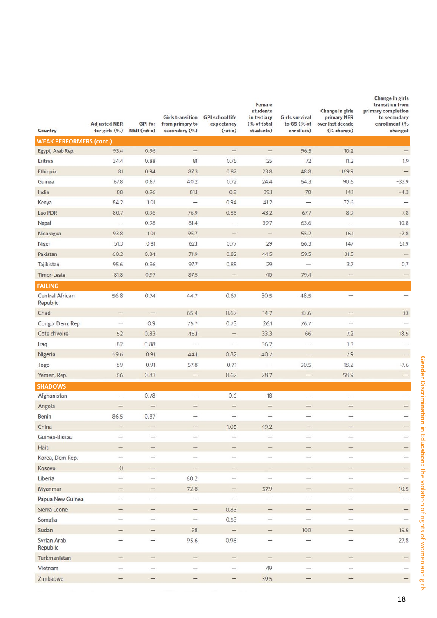| Country                        | <b>Adjusted NER</b><br>for girls $(\%)$ | <b>GPI</b> for<br>NER (ratio) | <b>Girls transition</b><br>from primary to<br>secondary (%) | <b>GPI school life</b><br>expectancy<br>(ratio)                     | Female<br>students<br>in tertiary<br>(% of total<br>students) | Girls survival<br>to G5 (% of<br>enrollers) | Change in girls<br>primary NER<br>over last decade<br>(% change) | Change in girls<br>transition from<br>primary completion<br>to secondary<br>enrollment (%<br>change) |
|--------------------------------|-----------------------------------------|-------------------------------|-------------------------------------------------------------|---------------------------------------------------------------------|---------------------------------------------------------------|---------------------------------------------|------------------------------------------------------------------|------------------------------------------------------------------------------------------------------|
| <b>WEAK PERFORMERS (cont.)</b> |                                         |                               |                                                             |                                                                     |                                                               |                                             |                                                                  |                                                                                                      |
| Egypt, Arab Rep.               | 93.4                                    | 0.96                          |                                                             |                                                                     | $\qquad \qquad -$                                             | 96.5                                        | 10.2                                                             | $-$                                                                                                  |
| Eritrea                        | 34.4                                    | 0.88                          | 81                                                          | 0.75                                                                | 25                                                            | 72                                          | 11.2                                                             | 1.9                                                                                                  |
| Ethiopia                       | 81                                      | 0.94                          | 87.3                                                        | 0.82                                                                | 23.8                                                          | 48.8                                        | 169.9                                                            | $\overline{\phantom{0}}$                                                                             |
| Guinea                         | 67.8                                    | 0.87                          | 40.2                                                        | 0.72                                                                | 24.4                                                          | 64.3                                        | 90.6                                                             | $-33.9$                                                                                              |
| India                          | 88                                      | 0.96                          | 81.1                                                        | 0.9                                                                 | 39.1                                                          | 70                                          | 14.1                                                             | $-4.3$                                                                                               |
| Kenya                          | 84.2                                    | 1.01                          |                                                             | 0.94                                                                | 41.2                                                          |                                             | 32.6                                                             |                                                                                                      |
| Lao PDR                        | 80.7                                    | 0.96                          | 76.9                                                        | 0.86                                                                | 43.2                                                          | 67.7                                        | 8.9                                                              | 7.8                                                                                                  |
| Nepal                          | $\overline{\phantom{a}}$                | 0.98                          | 81.4                                                        | $\overline{\phantom{a}}$                                            | 39.7                                                          | 63.6                                        | $\overline{\phantom{m}}$                                         | 10.8                                                                                                 |
| Nicaragua                      | 93.8                                    | 1.01                          | 95.7                                                        |                                                                     | $\frac{1}{2}$                                                 | 55.2                                        | 16.1                                                             | $-2.8$                                                                                               |
| Niger                          | 51.3                                    | 0.81                          | 62.1                                                        | 0.77                                                                | 29                                                            | 66.3                                        | 147                                                              | 51.9                                                                                                 |
| Pakistan                       | 60.2                                    | 0.84                          | 71.9                                                        | 0.82                                                                | 44.5                                                          | 59.5                                        | 31.5                                                             | $\qquad \qquad -$                                                                                    |
| Tajikistan                     | 95.6                                    | 0.96                          | 97.7                                                        | 0.85                                                                | 29                                                            |                                             | 3.7                                                              | 0.7                                                                                                  |
| <b>Timor-Leste</b>             | 81.8                                    | 0.97                          | 87.5                                                        | $\frac{1}{2} \left( \frac{1}{2} \right) \left( \frac{1}{2} \right)$ | 40                                                            | 79.4                                        |                                                                  | $\overline{\phantom{0}}$                                                                             |
| <b>FAILING</b>                 |                                         |                               |                                                             |                                                                     |                                                               |                                             |                                                                  |                                                                                                      |
| Central African<br>Republic    | 56.8                                    | 0.74                          | 44.7                                                        | 0.67                                                                | 30.5                                                          | 48.5                                        |                                                                  | $\overline{\phantom{0}}$                                                                             |
| Chad                           | -                                       | $\overline{\phantom{0}}$      | 65.4                                                        | 0.62                                                                | 14.7                                                          | 33.6                                        | $\overbrace{\qquad \qquad }^{}$                                  | 33                                                                                                   |
| Congo, Dem. Rep                | $\overline{\phantom{m}}$                | 0.9                           | 75.7                                                        | 0.73                                                                | 26.1                                                          | 76.7                                        | $\equiv$                                                         | $\overline{\phantom{0}}$                                                                             |
| Côte d'Ivoire                  | 52                                      | 0.83                          | 45.1                                                        | -                                                                   | 33.3                                                          | 66                                          | 7.2                                                              | 18.5                                                                                                 |
| Iraq                           | 82                                      | 0.88                          | $\frac{1}{2}$                                               | $\overbrace{\qquad \qquad }^{}$                                     | 36.2                                                          | -                                           | 1.3                                                              |                                                                                                      |
| Nigeria                        | 59.6                                    | 0.91                          | 44.1                                                        | 0.82                                                                | 40.7                                                          | —                                           | 7.9                                                              | $\overline{\phantom{0}}$                                                                             |
| Togo                           | 89                                      | 0.91                          | 57.8                                                        | 0.71                                                                | $\overline{\phantom{0}}$                                      | 50.5                                        | 18.2                                                             | $-7.6$                                                                                               |
| Yemen, Rep.                    | 66                                      | 0.83                          | $\qquad \qquad -$                                           | 0.62                                                                | 28.7                                                          | $\qquad \qquad -$                           | 58.9                                                             | $\overline{\phantom{0}}$                                                                             |
| <b>SHADOWS</b>                 |                                         |                               |                                                             |                                                                     |                                                               |                                             |                                                                  |                                                                                                      |
| Afghanistan                    | $\overline{\phantom{m}}$                | 0.78                          | $\overline{\phantom{0}}$                                    | 0.6                                                                 | 18                                                            | $\overline{\phantom{0}}$                    | -                                                                | $\overbrace{\phantom{12322111}}$                                                                     |
| Angola                         |                                         | $-$                           |                                                             | $\overline{\phantom{0}}$                                            | -                                                             |                                             |                                                                  | $\overline{\phantom{0}}$                                                                             |
| <b>Benin</b>                   | 86.5                                    | 0.87                          | $\overline{\phantom{a}}$                                    | -                                                                   | -                                                             | -                                           | $\overline{\phantom{a}}$                                         | $\overline{\phantom{0}}$                                                                             |
| China                          |                                         |                               |                                                             | 1.05                                                                | 49.2                                                          |                                             |                                                                  | $\overline{\phantom{0}}$                                                                             |
| Guinea-Bissau                  | -                                       | $\overbrace{\qquad \qquad }$  | -                                                           | -                                                                   | —                                                             | —                                           | -                                                                | —                                                                                                    |
| Haiti                          | $\qquad \qquad -$                       | $\overline{\phantom{0}}$      | -                                                           | $\qquad \qquad -$                                                   | -                                                             | $\qquad \qquad -$                           |                                                                  | $\overline{\phantom{0}}$                                                                             |
| Korea, Dem Rep.                | $\overline{\phantom{a}}$                | $\equiv$                      | $\overline{\phantom{a}}$                                    | $\frac{1}{2}$                                                       |                                                               |                                             | $\overbrace{\qquad \qquad }^{}$                                  | $-$                                                                                                  |
| Kosovo                         | $\,$ $\,$ $\,$                          | $\overline{\phantom{0}}$      | -                                                           | -                                                                   | =                                                             | -                                           | $\overline{\phantom{0}}$                                         | $\overline{\phantom{0}}$                                                                             |
| Liberia                        |                                         | —                             | 60.2                                                        | $\qquad \qquad -$                                                   |                                                               | $\overline{\phantom{m}}$                    | $\overline{\phantom{0}}$                                         | $\overbrace{\phantom{12332}}$                                                                        |
| Myanmar                        | $\qquad \qquad -$                       | $\overline{\phantom{0}}$      | 72.8                                                        | $\overline{\phantom{a}}$                                            | 57.9                                                          | $\qquad \qquad =$                           | -                                                                | 10.5                                                                                                 |
| Papua New Guinea               | -                                       |                               | $\overline{\phantom{a}}$                                    | $\frac{1}{2}$                                                       | $\overline{\phantom{0}}$                                      | -                                           | $\overbrace{\qquad \qquad }^{}$                                  |                                                                                                      |
| Sierra Leone                   | -                                       | $\overline{\phantom{a}}$      | $\overline{\phantom{0}}$                                    | 0.83                                                                | -                                                             | -                                           | $\equiv$                                                         | $\overline{\phantom{0}}$                                                                             |
| Somalia                        | $\overbrace{\qquad \qquad }^{}$         | $\overline{\phantom{0}}$      | $\overline{\phantom{m}}$                                    | 0.53                                                                | $\overline{\phantom{0}}$                                      | $\overline{\phantom{0}}$                    | -                                                                | $\qquad \qquad -$                                                                                    |
| Sudan                          | $\overline{\phantom{m}}$                | $\overline{\phantom{0}}$      | 98                                                          | $\qquad \qquad -$                                                   | $\hspace{1.0cm} \longrightarrow$                              | 100                                         | $\overline{\phantom{0}}$                                         | 15.5                                                                                                 |
| Syrian Arab<br>Republic        | -                                       | $-$                           | 95.6                                                        | 0.96                                                                | -                                                             | -                                           | -                                                                | 27.8                                                                                                 |
| Turkmenistan                   | —                                       | $\overline{\phantom{0}}$      | -                                                           | $\overline{\phantom{0}}$                                            | -                                                             | -                                           | -                                                                | $\overline{\phantom{0}}$                                                                             |
| Vietnam                        |                                         | $\overline{\phantom{0}}$      | $\overline{\phantom{0}}$                                    |                                                                     | 49                                                            | -                                           | $\overline{\phantom{0}}$                                         |                                                                                                      |
| Zimbabwe                       | -                                       | $\overline{\phantom{0}}$      | $\qquad \qquad$                                             | $\frac{1}{2} \left( \frac{1}{2} \right) \left( \frac{1}{2} \right)$ | 39.5                                                          | $\overline{\phantom{0}}$                    | $\overline{\phantom{0}}$                                         | $\equiv$                                                                                             |